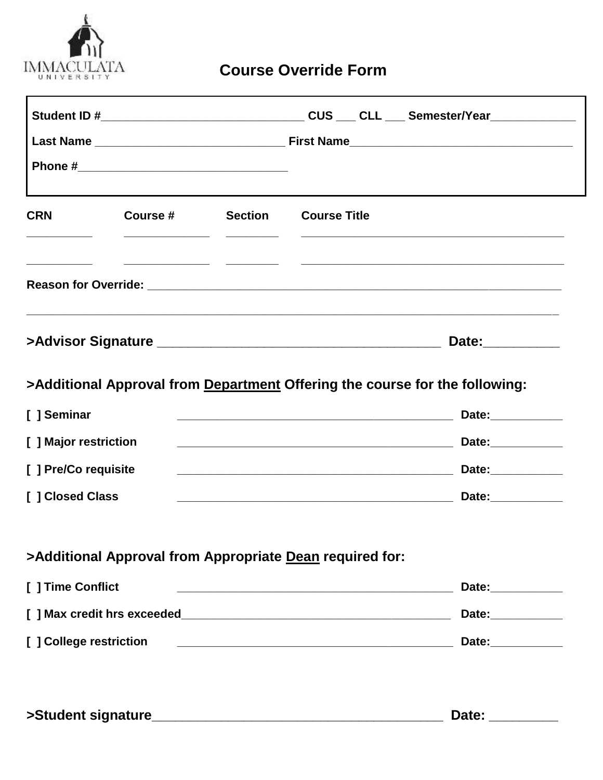

# **Course Override Form**

| <b>CRN</b>                                                                       | Course #                                                 | <b>Section</b> | <b>Course Title</b>                                                                                                  |  |                                                                                                                                                                                                                                      |  |
|----------------------------------------------------------------------------------|----------------------------------------------------------|----------------|----------------------------------------------------------------------------------------------------------------------|--|--------------------------------------------------------------------------------------------------------------------------------------------------------------------------------------------------------------------------------------|--|
|                                                                                  |                                                          |                |                                                                                                                      |  | Reason for Override: <b>with a set of the contract of the contract of the contract of the contract of the contract of the contract of the contract of the contract of the contract of the contract of the contract of the contra</b> |  |
| ,我们也不能会在这里,我们也不能会在这里,我们也不能会在这里,我们也不能会不能会不能会不能会。""我们,我们也不能会不能会不能会不能会不能会不能会不能会不能会不 |                                                          |                |                                                                                                                      |  |                                                                                                                                                                                                                                      |  |
|                                                                                  |                                                          |                |                                                                                                                      |  | Date:__________                                                                                                                                                                                                                      |  |
|                                                                                  |                                                          |                |                                                                                                                      |  | >Additional Approval from Department Offering the course for the following:                                                                                                                                                          |  |
|                                                                                  |                                                          |                |                                                                                                                      |  | Date:___________                                                                                                                                                                                                                     |  |
|                                                                                  |                                                          |                | <u> 1989 - Johann Stoff, amerikansk politiker (d. 1989)</u>                                                          |  |                                                                                                                                                                                                                                      |  |
| [ ] Seminar<br>[ ] Major restriction<br>[] Pre/Co requisite                      |                                                          |                | <u> 2000 - 2000 - 2000 - 2000 - 2000 - 2000 - 2000 - 2000 - 2000 - 2000 - 2000 - 2000 - 2000 - 2000 - 2000 - 200</u> |  | Date:___________                                                                                                                                                                                                                     |  |
| [ ] Closed Class                                                                 |                                                          |                | <u> 2000 - Jan James James Barnett, fransk politik (d. 1982)</u>                                                     |  | Date:___________                                                                                                                                                                                                                     |  |
|                                                                                  | >Additional Approval from Appropriate Dean required for: |                |                                                                                                                      |  |                                                                                                                                                                                                                                      |  |
|                                                                                  |                                                          |                |                                                                                                                      |  | Date:___________                                                                                                                                                                                                                     |  |
| [ ] Time Conflict                                                                |                                                          |                |                                                                                                                      |  | Date:___________                                                                                                                                                                                                                     |  |

| >Student signature | <b>Date:</b> |
|--------------------|--------------|
|                    |              |